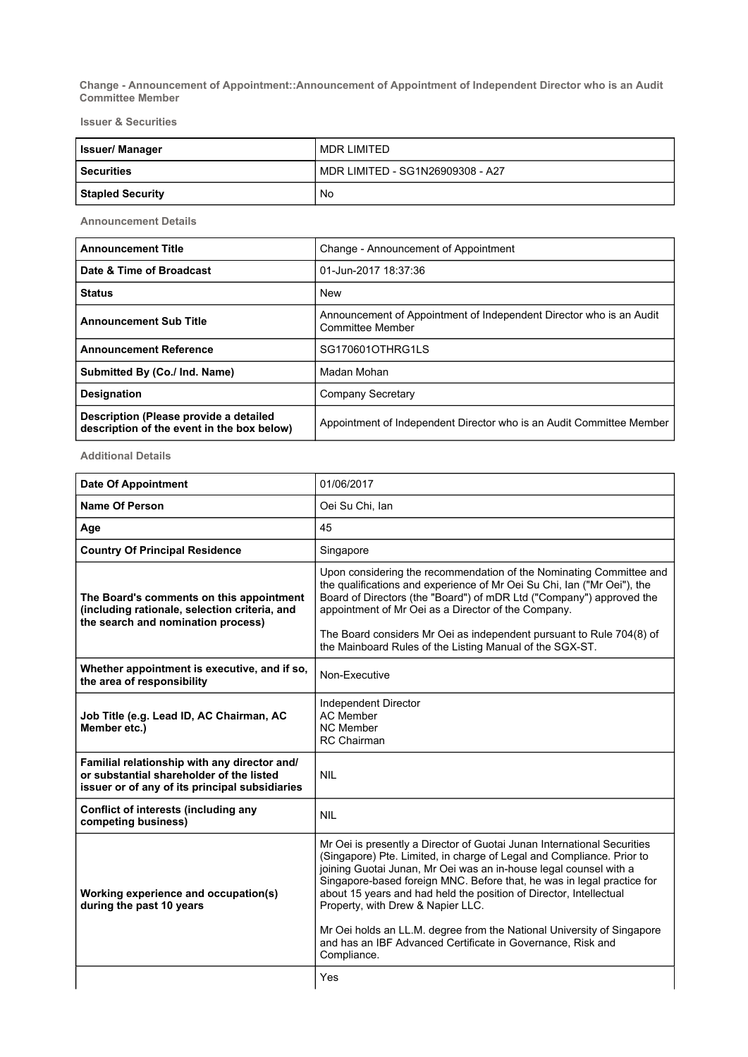Change - Announcement of Appointment::Announcement of Appointment of Independent Director who is an Audit Committee Member

Issuer & Securities

| <b>Issuer/Manager</b>   | MDR I IMITED                     |
|-------------------------|----------------------------------|
| <b>Securities</b>       | MDR LIMITED - SG1N26909308 - A27 |
| <b>Stapled Security</b> | No.                              |

Announcement Details

| <b>Announcement Title</b>                                                            | Change - Announcement of Appointment                                                           |
|--------------------------------------------------------------------------------------|------------------------------------------------------------------------------------------------|
| Date & Time of Broadcast                                                             | 01-Jun-2017 18:37:36                                                                           |
| <b>Status</b>                                                                        | <b>New</b>                                                                                     |
| <b>Announcement Sub Title</b>                                                        | Announcement of Appointment of Independent Director who is an Audit<br><b>Committee Member</b> |
| <b>Announcement Reference</b>                                                        | SG170601OTHRG1LS                                                                               |
| Submitted By (Co./ Ind. Name)                                                        | Madan Mohan                                                                                    |
| <b>Designation</b>                                                                   | Company Secretary                                                                              |
| Description (Please provide a detailed<br>description of the event in the box below) | Appointment of Independent Director who is an Audit Committee Member                           |

Additional Details

| <b>Date Of Appointment</b>                                                                                                                 | 01/06/2017                                                                                                                                                                                                                                                                                                                                                                                                                                                                                                                                                         |
|--------------------------------------------------------------------------------------------------------------------------------------------|--------------------------------------------------------------------------------------------------------------------------------------------------------------------------------------------------------------------------------------------------------------------------------------------------------------------------------------------------------------------------------------------------------------------------------------------------------------------------------------------------------------------------------------------------------------------|
| <b>Name Of Person</b>                                                                                                                      | Oei Su Chi, Ian                                                                                                                                                                                                                                                                                                                                                                                                                                                                                                                                                    |
| Age                                                                                                                                        | 45                                                                                                                                                                                                                                                                                                                                                                                                                                                                                                                                                                 |
| <b>Country Of Principal Residence</b>                                                                                                      | Singapore                                                                                                                                                                                                                                                                                                                                                                                                                                                                                                                                                          |
| The Board's comments on this appointment<br>(including rationale, selection criteria, and<br>the search and nomination process)            | Upon considering the recommendation of the Nominating Committee and<br>the qualifications and experience of Mr Oei Su Chi, Ian ("Mr Oei"), the<br>Board of Directors (the "Board") of mDR Ltd ("Company") approved the<br>appointment of Mr Oei as a Director of the Company.<br>The Board considers Mr Oei as independent pursuant to Rule 704(8) of<br>the Mainboard Rules of the Listing Manual of the SGX-ST.                                                                                                                                                  |
| Whether appointment is executive, and if so,<br>the area of responsibility                                                                 | Non-Executive                                                                                                                                                                                                                                                                                                                                                                                                                                                                                                                                                      |
| Job Title (e.g. Lead ID, AC Chairman, AC<br>Member etc.)                                                                                   | Independent Director<br><b>AC Member</b><br><b>NC Member</b><br><b>RC</b> Chairman                                                                                                                                                                                                                                                                                                                                                                                                                                                                                 |
| Familial relationship with any director and/<br>or substantial shareholder of the listed<br>issuer or of any of its principal subsidiaries | <b>NIL</b>                                                                                                                                                                                                                                                                                                                                                                                                                                                                                                                                                         |
| Conflict of interests (including any<br>competing business)                                                                                | <b>NIL</b>                                                                                                                                                                                                                                                                                                                                                                                                                                                                                                                                                         |
| Working experience and occupation(s)<br>during the past 10 years                                                                           | Mr Oei is presently a Director of Guotai Junan International Securities<br>(Singapore) Pte. Limited, in charge of Legal and Compliance. Prior to<br>joining Guotai Junan, Mr Oei was an in-house legal counsel with a<br>Singapore-based foreign MNC. Before that, he was in legal practice for<br>about 15 years and had held the position of Director, Intellectual<br>Property, with Drew & Napier LLC.<br>Mr Oei holds an LL.M. degree from the National University of Singapore<br>and has an IBF Advanced Certificate in Governance, Risk and<br>Compliance. |
|                                                                                                                                            | Yes                                                                                                                                                                                                                                                                                                                                                                                                                                                                                                                                                                |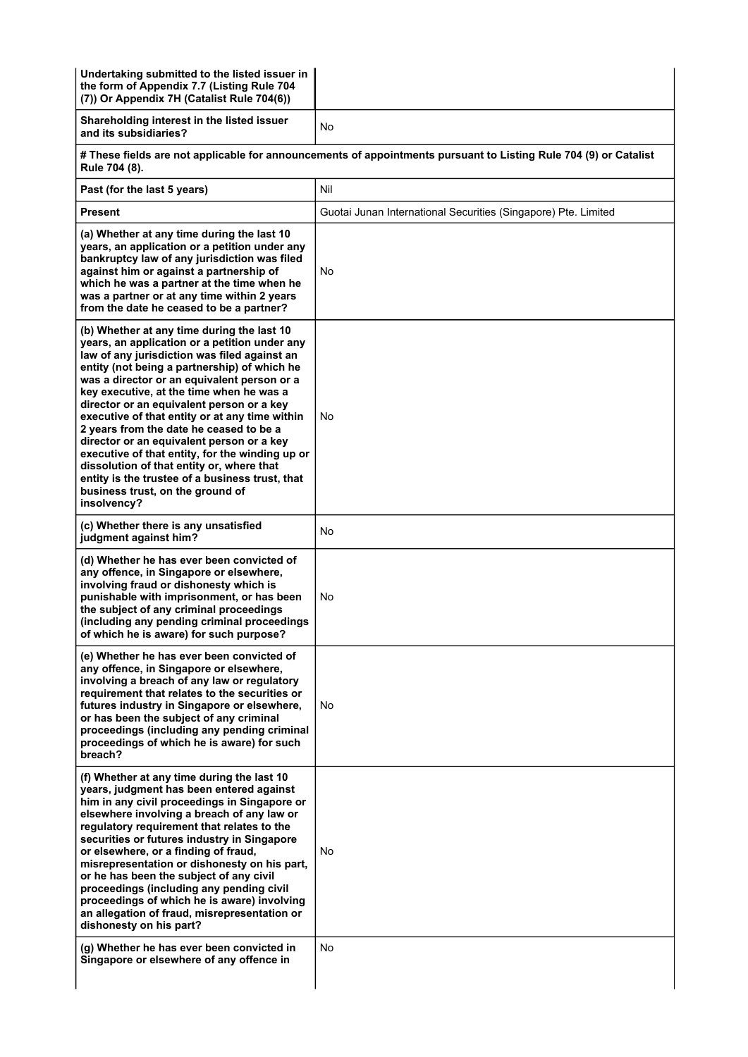| Undertaking submitted to the listed issuer in<br>the form of Appendix 7.7 (Listing Rule 704<br>(7)) Or Appendix 7H (Catalist Rule 704(6))                                                                                                                                                                                                                                                                                                                                                                                                                                                                                                                                           |                                                                                                                  |  |
|-------------------------------------------------------------------------------------------------------------------------------------------------------------------------------------------------------------------------------------------------------------------------------------------------------------------------------------------------------------------------------------------------------------------------------------------------------------------------------------------------------------------------------------------------------------------------------------------------------------------------------------------------------------------------------------|------------------------------------------------------------------------------------------------------------------|--|
| Shareholding interest in the listed issuer<br>and its subsidiaries?                                                                                                                                                                                                                                                                                                                                                                                                                                                                                                                                                                                                                 | No                                                                                                               |  |
| Rule 704 (8).                                                                                                                                                                                                                                                                                                                                                                                                                                                                                                                                                                                                                                                                       | # These fields are not applicable for announcements of appointments pursuant to Listing Rule 704 (9) or Catalist |  |
| Past (for the last 5 years)                                                                                                                                                                                                                                                                                                                                                                                                                                                                                                                                                                                                                                                         | Nil                                                                                                              |  |
| <b>Present</b>                                                                                                                                                                                                                                                                                                                                                                                                                                                                                                                                                                                                                                                                      | Guotai Junan International Securities (Singapore) Pte. Limited                                                   |  |
| (a) Whether at any time during the last 10<br>years, an application or a petition under any<br>bankruptcy law of any jurisdiction was filed<br>against him or against a partnership of<br>which he was a partner at the time when he<br>was a partner or at any time within 2 years<br>from the date he ceased to be a partner?                                                                                                                                                                                                                                                                                                                                                     | No                                                                                                               |  |
| (b) Whether at any time during the last 10<br>years, an application or a petition under any<br>law of any jurisdiction was filed against an<br>entity (not being a partnership) of which he<br>was a director or an equivalent person or a<br>key executive, at the time when he was a<br>director or an equivalent person or a key<br>executive of that entity or at any time within<br>2 years from the date he ceased to be a<br>director or an equivalent person or a key<br>executive of that entity, for the winding up or<br>dissolution of that entity or, where that<br>entity is the trustee of a business trust, that<br>business trust, on the ground of<br>insolvency? | No                                                                                                               |  |
| (c) Whether there is any unsatisfied<br>judgment against him?                                                                                                                                                                                                                                                                                                                                                                                                                                                                                                                                                                                                                       | No                                                                                                               |  |
| (d) Whether he has ever been convicted of<br>any offence, in Singapore or elsewhere,<br>involving fraud or dishonesty which is<br>punishable with imprisonment, or has been<br>the subject of any criminal proceedings<br>(including any pending criminal proceedings<br>of which he is aware) for such purpose?                                                                                                                                                                                                                                                                                                                                                                    | No                                                                                                               |  |
| (e) Whether he has ever been convicted of<br>any offence, in Singapore or elsewhere,<br>involving a breach of any law or regulatory<br>requirement that relates to the securities or<br>futures industry in Singapore or elsewhere,<br>or has been the subject of any criminal<br>proceedings (including any pending criminal<br>proceedings of which he is aware) for such<br>breach?                                                                                                                                                                                                                                                                                              | No                                                                                                               |  |
| (f) Whether at any time during the last 10<br>years, judgment has been entered against<br>him in any civil proceedings in Singapore or<br>elsewhere involving a breach of any law or<br>regulatory requirement that relates to the<br>securities or futures industry in Singapore<br>or elsewhere, or a finding of fraud,<br>misrepresentation or dishonesty on his part,<br>or he has been the subject of any civil<br>proceedings (including any pending civil<br>proceedings of which he is aware) involving<br>an allegation of fraud, misrepresentation or<br>dishonesty on his part?                                                                                          | No                                                                                                               |  |
| (g) Whether he has ever been convicted in<br>Singapore or elsewhere of any offence in                                                                                                                                                                                                                                                                                                                                                                                                                                                                                                                                                                                               | No                                                                                                               |  |
|                                                                                                                                                                                                                                                                                                                                                                                                                                                                                                                                                                                                                                                                                     |                                                                                                                  |  |